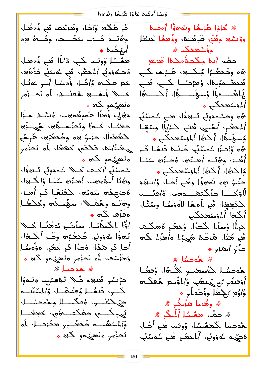كَرِ هُكُلُهِ وُٱكُلُّ وِهُدَيْكُمْ هُي ؤُهِهُـلُو وهُ نُسم شُهند و وُسْدِهُ وهِ و أربح شهاء هِمُّسُلِ وُوِيَّسٍ كُلْبٍ، وْاٰلِمَّا هُبِ وَٰوَهُمْاً. ەُحسُّوْوبُ ٱلمحضَّنِ ۚ هُم سُمَّبُ حُزُّەٱللهِ ۚ كَعِرْ هُكْـِرَهُ وَٱهْـارُ وَّهِمْـا أُسو مُهْـارُ كَمِيلًا وُمِهْمِدِهِ هُدَيَّنِكُمْ؛ لَمَّ تَجْدَوْهِ ه نصنهم و لاره وَهُلْ وُهِدًا هُدُوهُده، وَسُمْكُ هَذَا حَفَّسًا. مُحَارًا وِنَحَزَهِكُمِنْ هَيْ أَنْ لِكَعُفَوْلًا، حزَّىرٌ وہ وِحَكِمْ وَمَنْ وَجِمَعَ حِيثُمُنُكُمْ، شَكْشُمٍ كَظَّفْلُ، لَمُه نَصرُّومٍ ە ئەھنى ھەر ئىكە ، شُەمَمْلُ أَالْحــٰهـٰ كَـــٰلا شُـهْوَوِلُ كَــْ10وُّا. وهُنُا أَحِكُوهِم، أَهِنْزَهِ مَمْسًا وَاحْدِهَا. ەَحْرَجِدُه مُمْمْهِ، حَكْتَهْا كُمْ أُهن، وشُلَّد وهُثْمِيلًا، مِيهُمِيلُون ويُعْلِمُوْمِ  $\bullet$  စဲ $\mathring{A}$  မ $\mathring{B}$ စ }وْأَا لمكْمِلُمْـَا. مِعْ مَنْ مَبْ مُوشَا كَـــلا لَهُ وَا شَوْوِلُ: كَـٰدِهُـٰهِ وِكَـٰٓ; أَكْـٰـهُا: أَكُل كَرِ هَٰذَا. هَدُا كَرِ حُشْرٍ. هِوْمِنُا وُهدَٰٓمِمْڪ، ڵَاه نُڪزُّەم ونُههَيْءو لَاه ۞ 2 Lusan 2 د<sub>َ</sub>اِسُو هُدهُوْ شَلا لْـاهـرُمِـا هَلْـهوْا كْبِر، قْتَغْسَا وْقَتّْبَقْسَا، وْالْمَنْتَسَمْ حيْحِيْنُسِ، هُصِّحْمِسْلًا وِهُوصِيُسَا. لك تصمدُ من مشكله معتقب من أبراغ وْٱلمَّهَْمِـــهِ كَحِعُـــ;ٌم هكَرْضُــاً: لَمَ لأحزُه وكَ مَعْهُدو لَكْ(ه ﴾

® ێۘٳۅؙٳ؋ػ**ؠۿٳۅٮڎۄۊٛٳ**ٳٳؙڡڞؘؗؗۿ ووْنسْلا وهُنَّى هُرِهُمُكِ وَوُّهِهَا كَتِمُلَّا وؤشعدكما هر حفْ، أَبِيهِ وَجَحَدُهِ حَدًا هَٰزِعُو هُ٥ وحُدهُــرُا وُكْـــهِ: هَـــرْمِا كَـــمِ هُدهُــوُماً. وُهرَدـُــا كَـــى. هُـــــو بَمَاهُـــواْلِ وَمِيمُـــوْلِ أَكْـــوْا ألمؤمّنه محمد المستخدم ھَہ وحسَّدووںُ نَـھوُّا، ھے سَّدمَمُنُ ٱلمحقَّحِ. ٱهۡمَى هَنَّے كَـٰزُٰآءُ! وَمَعۡقِـا وَسِيَمِيكُمَا. أَيْدَهُا أَيْمَ مَتَعْدَكَبِي \* ھَە وَٱحِزْرَ شَمِيْتُ، جَيتُ؟ قُتِمْا جَع أَهْدِ: وَهُكُمْ أَهْدُوْنَ هَجَدْوَهِ مَنْدَ وَالْحَدُّا، أَكْدُّا أَمْاوْمَعْعَلَمَ \* حِنَّبُ ٥٥ يُهرِّووُا وهُبِي أُحُباً: وَٱسْتَرَوْ لْلُوْجُــــــــــا حزَّجْتجَــــــــــــوهـــــد وَأَهتَـــــب لحكَعِقِل: مْعِ لَمَعْا لِلْأُوْمِمْا وَمَثْلًا: أَحْدُّا ٱلمفحكب كَدِلًا وَسِلَا لِكَتِزًا، وَحِظَمٍ هَمِكْتِ هُم هُتُا، هُ;حُمْ هُيِيَٰ! هُ هُذَا لَحْم حَزَّبَ أَحدَبَ \* 2 Lisan 2 هُەدىسًا ئېزىمكىسى كَلاُسەًا. ۆدىگىا أَوْصِفُمِ رَسِي مِصْلِيَ بِرَهْدِينَ مِنْ هَدَلْهُ مِنْ مَسْمَعَ وُٱوۡم ۡرَبِّكُمَا وَوَّدُواۡرٖ ۚ ۾ وهُ:يُا هزَيكُم ۾ *ه* حقَّ، همَّسُا ٱلْمَكْرِ *ه* هُدْمِنُا كَعِمَّسُاً: وُوِنَّس هُم أَمَّاً: ەَدىم ھُوَوبُ: أَلمَحْشَرِ هُبِ شَەمَىُبُ: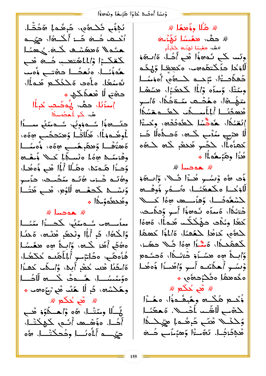ئَجِنُو شَكْتُوهِ. شَرْهُما وَهُشُوا. أنْحَــمَا دُـــة أَلَّــــة! وَلَّــــة لمنصر فك عشقهة لامشم كَمْكُمْ! وْالْمَاهُتّْعَبْ دُهْ مْبِ هُوذُـُــا، ويُعجُــا حِثْمَـــ وْوسا بُهِمُعُل ولُود وَكِنُكُم هُدهُلًا. دەْتو لا مْمكَكم ھ إِسْزُنُا، حَمَّ، إِثَّهَ صُحِبٍ كَبِماً هُ، كُرِ أُهدُهماُ حنَّــهؤُا شَــهوَوِنُ، شَــهمَّنُ مــــزًا أُوهٌــووزاًا، هَٰكَااتَـٰـا وُهمُحصَّــبِ @هَ٥٠ ەُھتُھُــا وُھھُبِـمُـــ وەُە، وُەمئــا وفزمكه هؤا ونسلكها كملا ومفسوه وَْحِيزًا هَجْمَهْ، وهُـلًا أَيَاًا هُبِ وَوَهُـلَٰ، وهُ لَه شَـزم هُ لَه مَمْشَـد. دَّزَـب وَيسْكُمْ كُحِفْسُ لُلوُمٍ، مْبِ هَتْسَا وهُدهنُه وُجِدًا ﴾ 2 Lusan 2 مىأك دە ئەممْلُى: ݣْحَـــزَّا مَنْــا وَالْحُدُّا، ثُم أَبَاْل ونُحجَّدٍ هُنْـهِ، هَجْنَـا ەھُكَى أَهُدَ كُـــدە. وَّابْـداً وە ھَمَّىسُـل فُزُّەمَّے. ەھَٰاتِہُــو اْیٰلَاھَــە مُتّـھٔــا. ةَاكْتُلْ هْلِي كُعْمِ أَبِيهِ. وَاكْلُبَ كَحْتُوا ەۆمئىسُنىلى ھىسمەڭ لىگىنى لاكىنىل وِهَكِشُهِ، ثُمِ لَٰلَ هَٰنٌ ثَبِي ْرَجَءِهِ \* ه مَّى مُكْم هَ نِّ لَمَّا وِمَنْنَـا. وَه وْاهِــدَوِّذٍ قُبِ أُحُـا. وَذُهْــها أَتُــهِ كَلِمِكْتْـا. حيْب أَلْمُوسًا وحُحكْشًا. ۞ه

**& حَيْلا وذَهدا &** هَمَّةَ مَعْبَسًا تَهْنُمَ حَدَّيْتُ وِنۡٮ كَے شَہوٰٓؤُا مَٓے ٱۡصَٔا؞ ہٗاٖنےوَٓءَ لَّاوْكا حَرَّكْتفَەھب، ەڭھِھَا وَّلِحَّە كُعِدّْهَا. يُرْجِدُ كَلْمَوْهِ، أُوفِيمُكُمْ وِمِّتْاً: وَمِعْرُهِ وْݣَلَّا ݣُحْكُوبُوا، هِمْعْصَا ىتۇگەل ەھچىھ مىتەئىگا، كاسىر هُعِمَتُنَا أَبِلِمُعَتَّمَ لِحَمَّدِ هَنْدُا إِنْقِنُكُما: هُدَهُّمُا لِكِعْدَدُدُهِ: وِكَمِنْزَا لًا متن مُنْسب كَـــــهِ. هَـصَدْهُلًا صَـــز كْعِزّْهِ أَا، حْشّْبِ هُجْعْ كْلّْهِ حْـهُه هُذُا وهَيُمِعُماْ \* A Ludar A ُوَّد ۞ه وۡلِسُــوٖ هُــزَّا شَــلاءِ وَّاسِـ5وَ لْلْوَيْحِمْلْ مَكْمَعْتُمْسَاً، وَٱسْتُمْرِ وُوِقْسِهِ للشعثم شاء وُهزَّم ها وهُ اللَّهُ ثَتِنُكُمَّاً، هُمِدَّه شُەھۈُا أُمبِ وَكِكَمِت، كَعْدَا وْخْلُفْ حَيْكُتُفْ هُدْمَا!، هَ۞هَ! لِحْدَةُ مِ كَنْقُطْ لِحَقْصَاءِ وَالْمَوْا كَعْمَقَا لَكْعَصُدُا، هَشْرًا هِهَا شَلا حِقْدٍ. وَّاسِمٌ هو هِمْيَزَو خَبْئُكُمَّا. ەَجِئَىم وْيْشُبْرْ أَبْعَكْتُلُثُمْ أُسْبَرْ وْأَهْيَسْأَا وَّەهُـَـا ه نُدههُ الْمَكْرُدِدُهُ و  $\circledR$   $\circledR$   $\circledR$ ؤْكِيم هُكْيه وهُبِقُبْوَوُل مِعْيَرَا لِحَدْمَبِ لْأَشْبِ أَكْسِيلًا. هُمْعَنُـا وَحْنَحْمًا هُنَّے خَبِقُـما هَيُحْــدُا هْجِاكُرْجُلا. نَهُ سُرًّا وَهِيَّ نَّس حُــة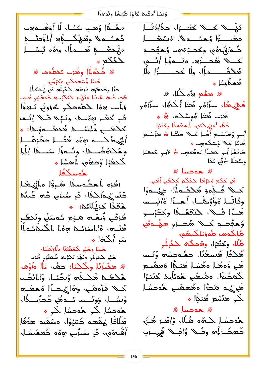وْسُا أُوصُّه كْاوُا هَٰٓيُـعُا وِيُووَوْۤا

ەھْكْل ۋەيب مَمْسًا، لَا أُذِقْسِهِ مِن كُعتُــه\ وقُدْئُكُــدُّهِ ٱلْمَوْدِيْــدِ هِ بِمَحْمَدِ جَمَعَ اللَّهِ وَهُوَ يُبِمْسَا حككم \* *®* حُذُه أُل وهُن، مُدهَّده ® هُزمًا وَمَعْدكُم مَكَرَّفٍ.<br>دَٰا وحَٰدهُمْ۞ فَزهُ۞ كَدَّرَاْ۞ هُم هُحَدَّدًا. هَد دُهَ هَيئًا مَهَّدَ لِكَكَبْسِهِ كَعَفْبُرِ هُدِّت فأمد ودهُا للتَّدهكُو شُوْوبُ نُـ2هُوْا كَمِ نُفْسُمِ ۞هَــهِ. وَلَهَما شَما }نُــه كَكْمَبْ وْلْمُكْمْ مُحْمَّدْوَمْاً: \* أَلَيْهِ أَمْلَـــهِ وَهُوَ هُنُـــا حَذَّوَهُـــا وهَكِمْدَهُكُسِيمًا. وِئْسُوؤًا مِنْسِيمًا إِلَمْ! كَحِعْدُا وَحِجَّى أَهِيْدا \* مُوسِكُفًا لَعْزِهِ ﴾ مُصْحَدِما هُجوُّا ولَمْ يَعْمَلْ تَمَّد مِنْ مِنْدُورَ مِنْ مِنْ مِنْ مِنْ مِنْ مِنْ مِنْ ِ هُقَدًّا كَز<sup>ِ</sup>يُّللنَّه: ﴿ هُدَتَبٍ وُمِقْدِهِ هَــرُمْ شَـهِمْكُي وِلْـكِمَّـرِ هُنْسِهِ. وْالْمَدْسَمْ هِوْا لْمَكْمُدُوشُواْ مَّى أَكْ2ة \* هَمِلْ وهَبْ لْاهْتَدْا وَلَاوْدُنْدَا. هَبْ لِلذِّبَارِ وَلَهَا لَكَبْدِهِ كَعِفْبُرِ هُاب & هَذَٰٓءُنُّا وِكُكْتًا: حَتَّ. ءُلَّا هُوُمِّ هْكْݣُـِكْ هْكَــكْلُه وَيْتُمْـلْ: وْالْمَتّْـب كَمِلًا قُزَّهِ هَبِ. وَهُلَّكِ حَسُرًا هُمْعَةَ هُ وْلِسُلِيا، وُوتَــِيب مُــوهُم جُحزَّـــدًا، هُوصُل كُرِ هُوصُل كُرِ ﴾ هَٰلِلظَّا لِمَعْهِم حَتَّبُوْلَ: مَمَّعَّد هَبُّهَا أَقُدِهُ مِنْ مَ مُنْ مِنْ مِهْمَ مِنْ مِنْ مِنْ مِنْ مِنْ مِنْ

ئۇگىلا ئىگلا ئىئتىۋا، جۇلۇشل دْهُمْ أَوْلَا وَجْمُدُ وَلَا، وَيَمْعَهُ ا هُـهُۥُوٓٚؠۥ۞۫ؠ؋ڬڝڒۊ؈؋ۜۿڣٛڝۅ كَمِلًا هُدَ أَنْ ، وَنُمُ وَأَوْلِم أَنَسُمِ هُكِدْثَـــــــه بأل ولًا يُحــــــــزًا ولَل a Linta & aty roall. & فْطَيْحْلَنْ مِمْلَاهُمْ هَٰتُا أَكْتَعَالَ مِمْلَاهُمْ هُذِمٍ هَٰنُا هُوِمْمَكُمْ ﴾ هُ دُمَّاهِ أَوْنَى حَسَّى، أَحْقَقْمَا وَحَتَّمْ! أُسِرٍ وَهٰذَهُم أَكُلَّ كَمِلاً حَنْتُنَا فَي هٰذَهُم ھُزْمًا كَلا وُسْكُوهِ ۞ كَرْتُهُا أَسِ حَعَّنزُا غَمَّقَتِهِ - قُ هَاسِ خُمْعَتْا وسُملًا هُيَّ مُذَا 2 Lusan 2 مْعِ كُكْمِ هَجْهُا حَكْكُمْ كُحْهُجِ أَهُبِ. كَـــلا فُــجُه، مَحْــدْــماُا. حيُـــموُا وِدَّاتْكَ وَوَوَّحَقْكَ: أَحْدُرَا وَأَنَّبِكِ هُــْ;ا ثَــلا، لِمَنْقَمُــدًا وِكْتَبُـــو وَحَقِّصتِهِ كَمَلًا هُصَبُّرٍ هُمُصَفَّع هُالْحُمْمَا هُوَءُلْكُلْهُمْ هُلُّا، وِكْتُمْ!. وِهَجِكُوهَ حَكْرَاُر هَٰٓدُدُا هَٰٮسمُنَا. حصَّەحسَّە وُنَـْٮ هْبِ وُهِ هُما هِ هُنْسَا هُتِبُوْا هُ هِهُنَــُمْ ا ِكْعِضَةْ!. وهُبِعَبِ هُوبُأَبِهِ كَنُتِمْ! لَّذْعَ هُمْ سِمْعَةٌ وَلَا مِنْ مِنْ مِنْ مِنْ لَّكُنْ هَنَّمْتُمْ هُتَّكِمَّا ﴾ A Load A هُوصُبا لِحْدَةِ وصُلًا. وْأَهْدِ هُنَّى كَعِمَكَــزِبْرُهِ وِشَــلا وُاتْبِــلا فَي زِب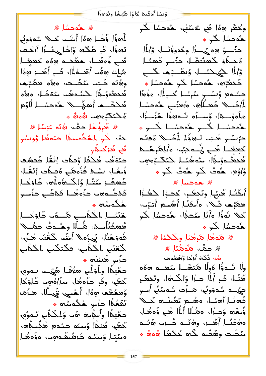وْسُلَا أُهضُمْ كَاوُلْ هُبُيعًا وِيُهُوَوْا

A Lisea A لْمَوْزًا وَجُبَل 16% أَمِنَّب كَبِيلًا شَوْوِبُ تُهوَّا، ثُم هُكُمْ وَّاجُا حِسَّاً أَلْمُحْمَد قب وُوقيا. حقيم ووَّى كَعِقِيا هُ بِلَتِ وَقِّ أَقْدَمُاً! ۖ كُبِ أُهَّدَ وَهُ وهُ لَه شَهْد مَمْشَده وهُ وهُ مَعْهُم هُدهُوَ ذُلا اللَّهُ عَمْدِ مَنْقَضًا، وهُو مَحْدَّـــم أَهمَّــــــــلا عَّـه=مُـــــل لُلوُم  $\bullet$  800 000 000 000 000 حةٌ: كُلِّ الْمُحَّدِيجُا حَدَّدُ أَوْسُر ھُے هُنگىگُر حمّةهُد هُدُدًا وُحِكُد إنْقُا حُدهُڢ فَممُا، سَـد قُزُهِكَ هَدـدَك إنْقُـا، كُهِكُ: مَنْتُما وَالْحُدِهُومَاهِ: كَاوْكُما <u>\* gûslâ</u> هَنَّـــا الْكُمُــــي هَـــهُــ كَافْكـــا<br>مُعم*َّناًأمـــــا*، قُــلًا وهُـــوتْ حقُـــلا قُەۋھُلُا، نْهِجُوه لا أَمَنُد لْكَفُلَد هُـنِّى، كْقْسُ لْمُكْلُبِ: دْكْتْكْب لْمْكْلُب دَّىبِ هُنىُلُه ﴾ كَعَبٍ. ومَ حزَّهها. معلَّهُ وهب حَاوْكُم وَهِمْعُمْ، الْمُهْمِي قُوْمِكَا، هَنْمُهُمْ، تَقْفُدًا حَنَّى ِ هُكُدْمَه \* حَفَّيْدًا وِأَمِيَّمَةَ هُبَ وَلِمُكُمَّى نَحْوَى كَعَبٍّ. مُتَدَّا وُحِمَّه حَسَّوم مُدَمِّدِهِهِ. ەمئتا ۇمئە كاھگەھەب ەۋەھا

وِكْتُمْ وَوَٰٓا مُّعِ شَمْئُهِۥ هُوَصَّلَا كُلِّو هُدَمُنَا لَكُو ﴾ دَّسِرٌ ٥٥ حُدًّا وِحُدوةُ نَسا. وْالْمَا ەْھەلُمْ جَاھەتتىھا دۇسى كەمسا وْالْمَالِكَيْكِسًا. وَتَضَبَّهَا كَبِ صَّحْعَةٍ, مَدَّدَسًا لَّكُن هُدَمَسًا ﴾ حِسُّـٰہِمْ وُبِسُـٰبِ مُبِئَـٰلِ كُـٰبِٱلْہِ ہِوُّہٗاْلِ أَاضْبِيْلَا ضَعْبُلُاهَ، وأهزَّى هُوَصُبًا والمؤكدان وُمسلُو شُوهووُّا هُنُسوُّا. هُوصُلَا لُحْسِرِ هُوصُلَا لُحْسِرٍ ﴾ جزِيسُو هُدزت نُبْهِ ذَا أُشْبِيهِ هُفِيِّم كعقا مُبِ لِمُسْمِدِ وَأَلْمَحْكُمْ لَمَسْتَمَرِ هُدهَّــوُموًا. معُوهُــا كَمَكّــوَوهِ وُٱوُم، حَدَّثَ لَكُنِّ حَدَّثَ لَكُنٍ ﴾ 2 Lusan 2 أُمكُنا هُرِبًا وتُحقِّي، كَحِبُرا حَقْدُا ههُرْم شَلاء وأَمِدُلِ أَهُمو أَتِرَب. كَمِلا بَدُوُّا وَأَمَّا مَحَجًا. هُدَهَمَا كُلِّ هُەدىمًا خُر \* ه هُوهُا هُوهُمُا وكُلْمُا هِ ه ح**فّ** هُوهُ*نا ه* هُ، ثَكْرَهَ أَوْكُلُ وْافْعَقُدهم وِلَا ئُےؤُا ہُولًا ھُتھُے مُحْمَد 20 ہ هَٰتًا. كَـٰٓ ٱٰٓٓڵًا حـَٰٓۥۢۢا وۡٱلۡـُـهُا. وِنۡـٰعَـٰٓـٓٓٓٓ كهُــه شُهوَوِبُ: هــزْت شُهِمَّكُ أُسو دُه بُ أهمُا. ههُــم مُعْبِّـه مُـــلا ذُهْبَهِ وَحِيزًا، وَهُـلًا أَلَمَّا هُبِ وَوَهُـلَىٰ ەھُكَنُّا أُهُد: وەھُنە شەن ھُنّە مَمْحُمِد وهُضُم كُلّْ مُكْلَّهُا وَّهُ وَقْ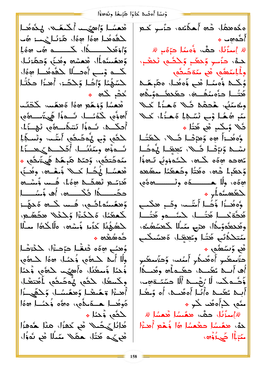وْسُا أُهضُمْ كَاوُا هُبْسُا وِثُوهِ وَّا

هْدْمُسَا وَاهِيَبْ، أَكْتَمَتْ، لَكْتُوهُمْا لِحَقَّوهُما هؤا هؤا. هَٰزِئْبَا يُهِمَّزِ هُمَّ وَاوْهَدْـــــــهُّا. يَحْـــــــه هُـَ هِهْ! وُهمُسْهاًا، هُمشُه وهُنِّي وُحكِّرْنَا، كَّــو وْتِــو أُوصِــلًا لِكَفُوهُــا هِوَا. لكَمْهُمُا وَٰاكُـا وَككُـ;، أَهـزُا حكْتُـا ىگىر كى ئە

هْعِمُا وُوْهُمْ 16% ەَهْمُسْ، ݣْحْتَبْ أَهْوَى كَدُّكُ، بَّدْءُ فَيْ بَرْتَ وَهُمْ أُحكَّـــمْ. ئَــهؤُا نُسْمًٰــــوةُ وَلَوْجَــزَا. لِحْثُمِ ۚ وَبِي هُمَضَعْمٍ أَمَنَّـبٍ ۚ وَنُسَجَّهِ ئُدوْنَ ومَمْلُأ أَكْلِ مِنْ يَحْسَنُوا \* رَضْتُرِيَّةَ مُفْہِمٌ مَّنْ مَنْ مَنْ مَنْ مَنْ هُعِمُا لُحُا كَــلا فُعْــِينَ وَهُــَــُونَ هُزْسُمْ لَهُشَمْ مِهْاً. قُسْسَ وَّسْسُمْ وُهمُسْهائُدٍ. فُست كْلُرُه مُحَمِّ كْعِفْدًا، هَٰكِنَّىٰٓا وَٰكِنْكُ مِكْمَٰكُمْ؛ لِحْقُهُمَا كَلَمَا وَّسْمَهِ وَلَا كُلُّهَ مِصْلًا ∻ တဖိထိခ်

وُهنُم وهَ هُعَمْل حَ حَتَّا. كَخْتِصْل ولًا أَمك كمعتَى ذُكسًا. 50\$ كمعتَى وُحمُا وَسِعْنَا. وأَهيَّب لِمَوَّقِ وَحَمَّا وِكْسِعْا. حْثُم هُوَصَّفُو لِمُعْتَقَا. أهجأا وهُبِعْدا وُهِمُسُلِّ وَحَكَيْبَ ا هُوهُــا هــهُمدُو، وهُو وُحمُــا هوُا لْحَقُّو وَّحْمًا \* هُائِل ُهِجُمِلا ۚ هُم كُعزُا، هِنَا هُوَءُاْ هُدِيءَ هَٰتُكَ حَقَّلًا عَمَلًا هُدٍ تَوُوُّلُ

مكُمْعَهَا. دُهِ أَحْكَمُهُ دَّسِ كُنْعَ أَحْدەب \* ه إِسْزُلُل: حقَّ، وَّهِمُا حَرَّمَةٍ \* هـة، حزَّىــر وُهكَــر وُهكُــه لَــدهُــر، وألم متضمضه ومشابلها وُكْــدْ وْهِمْــا هْبِ وْهِهْــا، هِمْبِـمْــدْ هَتُــا حزَّەمْئُفــة، حَعَّدَهْــوَمْ^ة وشَمَعُهُ: هُدهُمْ شَلا هَعُزُلْمُ حُملاً مّم هُمُا وْبِي نْسْدِا هُمْزَا، كَــلا ئُلا وُئْكُم مْي هُتُا ﴾ وُهِ هُداً ٥٥ وُهِ ُصُل شَكًّا، كَلَّمَتُ ا ىسْـــا وۡتِرۡصَــا صَـــا ، عۡمِمَتِــا يُہۡصَــا كَلَّهِ حَدٍ مِنْهُمْ لَكُنْهُ مِنْ مَا مَعْدَوْمِ لَهُ مَا مَعْهُ وُحطَّى أَدُهِ وَهَٰتُهُ وِضَعِظْهُ مِعْقَعَة رەۋە. ولا ھىسسىگە وتىسسىدەۋە لمعتقم أبريه وَوَهُدَٰٓۥٗا وَّجُدا أَمَّنَـٰٮ، وِكَبِ هِكْسِي هُدُّة كُـــا هُتُـــا. حميًـــو هُتُـــا وهُدهُوَوُماً. مثمِ مَماً لَكَعتَمَهُ ؟ مَتلاكُلُ هَتُا ومَعِيقاً وَهِيمَا هُم وُسَعِفُو \*\* حَبُّىمكَىنِ أَەقُتْتُمْنِ أَمْتَتَ: وَحَبُّىمَكَىنِ أَى أَسِيمَ مُعَمَّسِينَ. حقَّدهأَ تَوقُسِيمًا وَّحُـــه كُـــه لَّا رُجْمـــــمْ أَلَّا حَمِّمْــة هِـــه. أَبِـمْ تُعَمِّــمْ هِٱنْـا أَهقُمــمْ. أَه وَّحْـا معًى لِحِ أُه هُما لَحْدٍ ﴾ الأمْرُبُّلْ: حَقَّ: هَمُسُلْ مُعْسُلًا هَمْ الْعَلَيْمَةُ حةٌ: مَعْضُلًا دَمْعَضًا هَا ذُهْمَ أَمْتُوا مَتَنْ أَلَمْ تَجِيدُوْنَ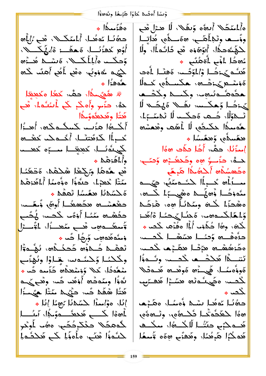ەقزىمگا \* دەُنا غەمَا، أاسْكُلا، قْدِ رُابِلُه أُوُم كَحَزُنُــا، هَـعفَــز ةَارِيَٰكْــــلا، وَحِكْمٍ هِ أَبِلِلَّكْمِ وَسَمْ هُــزُوهِ لمَبْهِم شُوْوِبُ: هِ هُمْ لَمُعْ أَهْدَ لَكُمْ هَذَا هُ هُدُواْ \* ه هُمُي هُل: حقَّ: كَعُل مَكعفة حةً، حنَّىرِ وأُهكْرِ كُمْ أَسْتُماً، هُم هَتُا وهَدهُووُ جَا أَكْمَا هزُب كَسِكُمْدُو: أُهْدَٰا كُمراً! كَرِمُتِيْماً. أَيُمكُ كَعْمَلِهِ كميش من التحيين المستوفي وألمفزهم \* هْمِ هُومًا وَرَبِّعْا هُكِفْهِ: هَتَعَمَّا مَحْتْلِ كَعِبْرَا. حِبُّوْا وَوْوِمْا أَامَّرْهُمْ مَحْمَدْا مَعْسَا نَعفْد \* دعْمِسْــره مدَهمعُـــا أُوهَى وُمعَّـــب حكُفُــ ۞ مّمُـُــا أُوْهُــا كُــْـــــا، لُهُـصَّــع وَّسْعَدُدُوبُ هُبْ مُعْدَرُكَ اوُّسْتَرَا وْمِنُوهُدوهِم وُرِجُل حُمْدِ نْعِمْــمْ دُــمْؤُه كَحكُــكُمه. نُهُّــهُوْا وكْكْسًا وَحْسَّدِينَ جَبَاوْا وِنُهْزَب مْمُعْدَدًا، كَمِلا وُوْمْعِدْلُهِ كَارُمِدْ كَبْ \* ثَهَوُّا وِسُمَهِ شَهْ أَوْهُد شَدٍ وقْبٍ حُ أَسْرَفِ الْنَمْ مَرْبَكَ، حَمْنَ مَفْشًا حَيْمَةً إِنَّا، وَوَّاسِدًا كَسَّكَتْ رُومِنَا إِنَّا مِ لْمَوْءَا لِكَــــــــو مُحمَدٌــــــووُحِبًا. أمنُـــــا گەھكىلا ھڭڭبۇڭپ، ەھُب لَمُوكْدِ ﻼَــُووُّا مْنَــب: ولُووْا كْــب مَّلاشُـوا

هِ،ۢٱلْمَحَكِ أَلِيهُهِ وَيَفَكِّ. لَا هَبْرَلْ هُبِ وؤُسِعا وِنْدِلْمَكَ، 50ْسِدْهِ، هُاتِيا ِكُهُدَدَاً: ٱوۡوَٰهَٰوَه ۚ هُم مَّائُـدَاًا: وِلَٰا مُعطُ اوْبِ الْعَطُنُي ﴾ هَنَّــم جُــزِحُـــل وْالْمُوَّــَـــد، هَـمَنْــل لِلْمَحِت كَافْتُمْ مِنْكُمْ مِنْكُمْسِيْدُو مِنْكُمْسِيْدِيْنَ بمحُوهُــولُيهوب، ولَكْيَـــِمْ وِكْخْــِـم لَّ مَنْكُمْ مَسْتَسَدَّ مَنْ الْمُكْسَرَ تْــــاوّلًا، حُــــم هُحكّـــــ لُل تَــْمـمّــــرّل. هُدَمِيدًا حكْمَثُم، لَا يَأْهَم وقْعِمْيُو ھكسلەر ۆھكىسًا م إِسْؤَيْلِ حَقَّ، أَجْلِ حَلَّافٍ هَذَا هــةْ، حزُّـــرُّ ۞ه وحُههُــرْ۞ وَصَـــعٍ. ەكھىنىدە أىلىئ ماركىتى مسرُمُ "مِنْدَمِثْدُ الْمُ بِهَا مِنْهَا مِنْ معدد أحسيهُ مسْرَا وَمِنْ اللَّهِ مِنْ هِ هُدَٰى اللهُ وَسَمَائِلُ ٥٥٠ هُوَجَهَ وَالْمَالِكْمِدَهُ مِنْ الْمَحْمَدِينَ وَالْمَدَامِ لْحُرْهَ، وِرَهُمْ كُلُّوْفٍ أَيْأَا هَفْزُها لَكْمَا \* دأەڤ رە ۆدئىل ھىئىشىل ڭدىپ وَحَزْهُهُـــهِ مَرْضًا مِمَّــرْمَا كَصِـــهِ. ئنتسلاً مُحدَّسِم حُصبٍ ونُسوؤًا ەُوۋُەممُــا، ھَي آزە ەُوھْــە ھُــەمْلا لكحب، وكَيْتُوتُه هنَّوتُه مِنْ مِنْ مِنْ مِنْ لأحديه دەُنَا غەھَا بشك ۋەممَان ەھْبْھ هِهُمْ لِمَعْجُمْتُمِ مُكْتَفَى، وِيْتَوَوْمِ هُـــودُعِ حنَّتُــا لَّاحْـــوهُا: مكْـــو هُدهُدًا هُرِهُدًا، وهُدْئِبِ 300 وَّسِعًا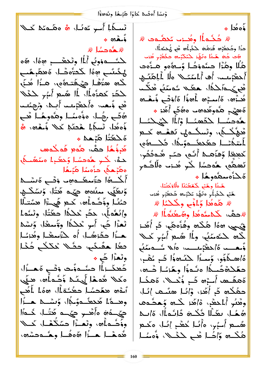نسكَلِمَ أُسِرٍ مُوسُلٍّ ، وَهُدِمَهِ مُحِلَّا  $\bullet$  gives A LioCa لكئـــووبُ أَلَمُّا ونَكْتَــــو 16%، 60 لِمُنَّبِ وَهُ كَحَرُّهِ صَلِّ هُعَفَہِمَّبِ كُمْ الْمَعْ مِنْ هُتَدَهُّوْ مِنْ الْمُنْهُ هُكَّى لكُمْ; كَعِزْهِ}ًا، إِلَّا هُبِعِ أَبْرِ لِكَيْلا هُمْ وُسْعَمَا: ٥أَحْمَٰٓئِمِنَكَ أَبْكَا: وَرُحِمُنَكَ هُكَبِ رِجُـا. وذُهِبُـا وِهُوهُـا هُبِ ۈُەھُل: ئىيگوا ھُج*تَ*كِ كَمَلا وُ**ُ**ھُرُو، رُوْ هَكَعَتُهُ هُبْعِكُ \* هُروُهُا حقٌّ، هؤه فُوحُوها حدًا، كُلِّ هُوَجِسًا وُحِكِّراً وَمُعَصِّراً وهُبْعِظُ دَوْمِمَا هُبُعُا أَكْسِمًا حَتَمِعَصَدِهِ وَضْحٍ هَيْسُمْ ۇيغڭى مىئەھ كۆھ ھَتْا، ۇيئىڭلى هِمُعًا وَذُهَهُ وَاللَّهُ وَلَى اللَّهِ فَلَى اللَّهُ الْمُسْتَبَلَّلَا و}نُهُه]ُ، حصٍّ تَحِذُا حكِّتُا. وِنْسُه! تْعِزْا جُي: أَسِ تَحِكْدًا وِقُصِعْدًا: وُنِسْمَ هـزُا حدَّ:هُـا: أَه كَتَمِمْكَـا وهُـ:بُـا دهُا هقُنگمِ، دئَـلا ٽنٽلُـم دُخْـا وِيْعَنْزَا جَي كَعِكْــزِيُّا حِسُّــوزَّىت وَضْــع مَــدَّا. مِكْمَا هُومَا لَيْكُمْ وَحُدْمِلْهُ مِنْهَا مِنْهَا مِنْهَا مِنْهَا مِنْهَا مِنْهَا مِنْهَا مِنْهَا ٱمةَ هَ هَدَمَا حَمَّتَهْ الَّهِ مَا ٱلْمَحْبِ وهــدًا هُدهنُــدوُندًا، وَيشَــدْ هــزُا الْمَــْهُ مِنْ مَـــرِدَ بِــهُ أَهْ مَا مُحَمَّــا مِنْ مَـــدا وِذُهُـه أَ90، وِنْعَـٰٓءُ! حَمَّدٌٰهُـا ۚ. كَـــلا هُدهْــا هــزُا هُوفُــا وهُــومْنون

**ؤە**ھُل پ *®* حُثّواُ! وهُن: كَجْهُنُومِ *®* حزًا وحُدهُمْ ه عَزهُهَ حَدَّمِلُه هُم هُحَدُه اُل هَد دُهَ هَمَا مَنَهَا ذَكَّةٍ مَتَحَدِّدِهِ حَكْفُهُم هُوَم هُلَّا وِهُٰٓۥُا حِسُّوفُ وُلِيُّوو عِـزُوف أَحْفَزَ مِبِ، أَفِ ٱلْمُمَّــٰ لَا لَمَا مَٰلَا لَمَا لَمَنَــٰمِ سْكَنْهُ بْعْمَدْ سْكَعْهْ .أَمْكَاهْرِرْبِهُ هُــزُه، هَامــرُه الْمَوْْا هَاوْتُــوهُ وَْــمْــه ٥ مهيَّى مثَّه وهُده من ٥ مهُ صَ أَهَد: حدَدسُـــا حدَدهمُـــا وْالْمَا حَيْحَمُــا تَعَهَّكُمُ وسُكُمها تَعْفُسُه كُسْعَ لَمتِمُنْكُلُ حَعَدْهُ وَمِمُلٌ مُكَسِوُّهِ، كَعِيَّةِا وُفَزُعـدْ أَنَّـى حَنَّـ هُـوَفُفُرٍ. تُھھُی جُوجسًا لگر هُنزت ولَّاصُورِ ەَجْزُەممەھُوھُا ﴾ هَمِلْا وِهَبْ لِحْقِظَنْا وَلَاؤِكْنُا. لَّهُمْ لِلْكُولُمِ وَكَهُا كَلَوْمِهِ كَلِمَعُوْمٍ هُوَمَا **& هَوهُا دُاؤْبِ وِكْكْ**اْ *ه* هجعًا: كَلِمْعُوهُا وهَعْفُلُهُ الله فَيْسِي 10% هُكْدُه وِهُزُّهِ هُبِ. ثُمِ أُهْدِ كُلُّه لِمُشَمَّلُونَ وَلَمَّا هُمُعَ أَجْرِ كُمِلًا وَّىعىـــد ة/حقَّةٍ علىـــد، هألا كَـــدمَعْبُ ةُ/هِــدُوُو، وَمِـدُّا كِنَـدُووُّا كَبِر مُهْبٍ. حَمْدَةَ حُمْدًا وَشُوءُا وِهَّزْ الْمُصَّرَفَ ەْھفْسە أَسْرَه كَبِر وُكْسِلاء ەْھكْل حعُكُد مَٰ أُهُنَ وْابُلْ هِنَيْفَ إِيَّا. وقْتُلُو ٱلْمَحْقَوْمَ وَٱلْقَدْ كَلَّادِهِ وَحَصَّمَاهَا ھُڪَلِ بِگَىلَا جُكْجَةِ جَانَـُولَمَا. وَ*ابِ*مِ هُمحم أُسرُبِ، وأَنْا خُشْرِ إِنّا. وكُحم هُكْدِهِ وَٱحُسا هُبِ حَكْمَلاً: وُهِمُسا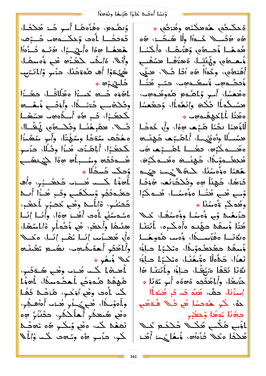وُبْعَدُهِ. وَفُزُّوهُا أُسِي كُنْ هُكْشًا. هُ دِكْمِدُهِ ۚ هُوَ مَدْدُهِ ۚ وَمُنزَدُّهِ ۚ \* كُودِهُـــا لِمُوبَ وُحِكْـــوهب هُــــرْهِ. 6ه 6مُئسلا مُعاً ولًا هُمضَــز. 6ه هُعِمًا وَهُ! هِ أَسْلَى إِنَّ وَهُ صَدَّهُ ا هُوهْــا وُْحــوهُ) وُفَيُنفْــا، وأَلْكُنُــا وَّمْعَــوهُ) ولَيُنْتِـا وَهَوْهَــا همَّهْـب وأَلَمْلاً: هَامِمُّكَ لِكَفُّزُهِ هُبِي وُوَسِقُلَ: هُهُدَوْاً أَفْ هُدَوْخُلًا: دَّنُسٍ وُٱءَلَّـٰئِهِـٰ أُهۡتوهُو، وِجُوءُا وَهو اُصۡلَا شَكَّا : هـلَى وَْدِدَسُوهِ بِأَسْمَدُسُوبٍ دَمَسٍ هَٰتُنَا دُاملى م لمَوْدِهِ شَـــرَّةِ مَعْلَاشْــا، حَمْــزُا ەھْمسًا، أَسر وَاهْـُـەم ھەْوھَــەھِــ، وثَكِلْهُبِ دْبْئِكْلْ. وأَوْثَبِ وُّمْصَــِرَه هسَّكُماُ ا دُكُرْه والعُمَاُل وَحِعْمِسُا كَدِهُــَ ۚ إِن دَّـ وَ مَ أَكْمِ وَ صَدْهُــا ەھتا لم كالمكمھەمە \* لْلُؤْهِمُا بِصَّا هُبْهِ وَوَٰا ۚ وَلَى خُوصًا ئَــــلا، محمَّہِـمُنُــا وِئَـكِـــوَّى لَمِغْـَــال معُثْفٍ مُقَدًّا ومُهُتْلًا وأُسٍ مُعَمَّنُوا هسُماً وأَهوَٰى الصَّبِّم مَنْ الْمُسَمَّدِ ه هُـــــه كُثَرُهِ، حمُــــــ المَكْتَبِهِ هُ كَّدهُــُ;ا، ٱلمۡصَّرَٰد هُــزًا وِشَـُلاً، حزَّمـــر هُدهنُــدوُماًا، كَنْهُـــه وهُـــدكُرُه. هُــوَمُعْمَرُ وَمَـــزِهُمْ وَوَٰٓا لِهِمْ مِنْهُمْـــو صرتت نسرًا للهلك المنماه المفقد وٌحكٌ ضَّمَطُّا ﴾ لْمُوْمَا لَكْــــد هُـــــزم كَــْـمَـٰـــزُم، وأُڢ كَنْشَا. كَمْنَأْ وَهِ وِثْلَكْنْتُ وَقُطْ حَفَّـٰہِ دُمُوں وَمِّـٰہِ کُمْـٰہِ مِنْہُ اللّٰہ وْبٍ قْبِ هَٰتُا هِ وَْهِمُا ۚ قَدْ هَٰذَا وهُدكُم وَّدْمُمْلًا ﴾ كُتْنُو. ۞ أَمْــدْ وِثْبَ كَتْتَبُّر أَحْثَـر. حنَّمَهُم وْبِي وْهِمْا وِوْهِمْقُا، كَتْلَا هنُـهمَّلُ لِمُهِد أَهَٰــز هِهُلَّ وأَنَــل إنَّــل هسَّمَا وأَحقَىٰ ۚ هُم وَّحُماُرٖ وَالمَّعْمَان هَٰتُا وُسِعَه حهُبِ هِ أَهكْرِهِ، لِمُتَنْكَلِ ەلگەنْسا ەھتُىمسىداً: ۋەممە ھىُەوھسار ہ)ُ، هُتَمَـٰٓءُمب إنْسا مُثْمَـمِ إنْساء ہُمَـــلا وْٱلْمَكَرِ ٱلْعَقَيْدُ مِن، يعَمَّلُ كَعَيْدَ مِنَ وَْسِفُمْ حِعْدِهِدُومُ). 20حَجَّا حافُر ئىلا **ئ**ىمُىر \* نْمِزًا، دْمُّەلْل ەقْبْمُنْبا، ەنْكَرَّا، دارۇر أهدهُ! كُم هُـنِي وهُبِ هَيقِصُرِ. ىغْدْلْ نْتْݣُا هْرُغْتْلْ. حـافْرْ ولْأَنْتِسْا هْا هُهِفُمْ هُدْوَجُ الْمُحَْدِسِمَّا. اُهْزَا حَبَّىغَا. وِٱبْلَعْضَمِه هَ٥٥% أَمِرٍ عَةَلَا \* }ممزَّنُل، حقَّ، هُنفٌ ضَرِ كُرِ هُنفَاً! لَّكُتَ لَمُوتَ وَهُمْ أَوْكُتُو: هَٰٓزَهُـُـٰهُ كَفُـٰلَ وِلَمُوتَمِيطًا، هُمِيَ اُسْ هُنْهَا أَوْآَهِ لَمِنْ حةْ: حُدٍ حُوصُلاً مِّع ثَلاً قُدْهُم حەُنُا مُەمُدا وَحِعْبُر ەھْع ھُىعدُار أَحالَكْلُر. دَئْنُوْرٌ وە لمأمس مُتَّسس مُكْلًا كُلْدُهِ كَسلا لْعَفْمْ لَكْ. هُعْ وُلْحُسٍ 6ْهِ ءْ3ْهَ هَكِكُمْ مَكِيهِ شُؤْوَاتٍ وَمُعَلِّيهِمْ أَهْدَ لَّكُو: حزَّمَو 300 وَيُتَّ90 لَّكُمَّد وْكَمْلًا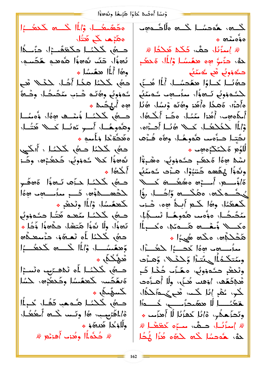وْسُا أُوصُّهَ كَاوُا هَٰٓبُهُا وِشُورَۨٓا وَحَقَّمِعُكِ، وْݣَلْ كَلْمَ كَحْعَكُمْ! كْتُمْ، حَدْدِسُنَا كْتُمْرَة وَلَاجْتُدْهُمْتْ ەھْبْھ كُم كُنْتًا.  $\bullet$  gives حصى كُحْسًا حكْمَّفْسْ الْمَنْسَمَّا @ إمزُنُل: حقْ. كَكُمْ هَٰكُمْ 9 ئُهؤًا، حَنَّ نُهُهؤُا هُهَ هَ هَكْسُمٍ، حةٌ: حزَّىرٌ وه همَّىسًا وْأَلْمَا: هَجْعًا ودُّأَ أَلَمَّا مَعْمَىٰلٍ \* حىثُەؤوپُ ۚ شَى خُەمَمُّلُ حسًى كُلْمُا مِنًا أَحًا. لِلْمُلا مْع حدَّثَا كَمَاوُا هِمُحِسًا. أَلَمَّا هُــَى لْمُشُووْبُ نُنْهُوْاً، مِبْرُسِهِمَا شُومُنْبُ شُەوْوبُ وەڭگە شْنْب مْكْتْشَا. وشْدَةُ ٥٥ أريضُه \* وأدْنَ وَهِدًا وأُهَّ: وَهُنَّه وْسُلَّ هُنَّا حصةً كُلِّمًا ذُمَّــ وهُا: ذُمِّــا أَبِكُوهِبٍ: أَهُذا مَيْسًا: وَضَرْ أَجْرَهُا. وهُدوهُــا، أُنــو مُدنُــا كَـــلا هُتُــا، وْلِمَا كِخْكِصًا، كَكِلّْ هُنُا أَصِرْوه. ەھَدُّقىْدا فِلَممە ھ بَثَتِهِ حَـزُومِ هُوَمِعُهِ. وَهُوَ قُـزُهِ حسَّى كُلْمُا حِسَّى كُلْمُا وَ أَنْكَبِي لْلُؤْمِ هَكْتُكُوْهُ \* لسْمْ 10\$ هُجعَّةٍ حَسَّەوْوِبُ: 20\$-10\$ لَهْ19وَٰ | كَذَلا شُهوْوِبُ: كَحْمَدُ إِ200 وِكَة وِثَهُوُّا لِكَعْمَمْ كُتْبُوْْا، هَـزْبْ شُمْمُّكُمْ  $\frac{1}{2}$  ,  $\frac{1}{2}$ حـهُ گَلْمُـا هـزُم نُـهوُّا ﴾هوَّب ەُ/ۇسىم. أىسۇھ ەھككىدە كىسلا لِحْصُمِكُمْوْهِ، ضَبِ مِعْ صَارَتِ وَوَا لَى حُـــــه كَــــــه مَكْـــــه وَاحْــــــا. رؤا ِكَعفَسُلٍّ. وْ*ا*لْمَا ونْحِعْرِ \* كْمْعَمْدًا. وَهَٰا كُلّْعَ أَبِيءٌ هِ٥٠ شَـٰزَب حــهُ، كُــدْـُــا مَحْمــه هُتُــا حـمُـهووبُ مَكَمكُل دؤْمِيا هُومِمُا لْسِيَابِلِ. ئەودًا، ولًا بُودًا هَتفها، حذْرُودًا وَجًا م هكب ذُمْسِهِ هُبِهِ وَالْمُسْدِينَ وَكَبِ الْمَ دى كْلْمْا أَه نْعْتَهُوْ: دْزْمْعْدْلُهِ هَ الْمِرْهُ مِكْهِ هُمِ إِلَى مَ وُهمُسُداً. وْٱلْمَالِكْدِهِ كَلِمْكُمْدَا مسأك من مؤالي حدا للمشترك. ومنْتكْمُ الْمَ عَلَيْهِ الْمَسْرِ الْمَكْتَدْ، وَهِـنْهِ قىم ئىگى ، حــِمُّ كُـذَـُـا أَه نُـاهــَمْبِ هنْســرَّا ولْكفْرِ حثَّەوولُ، مَضَّزُب كُخْا كَرِ ەتقەسىس كىھقىسلا وكىمكترە، تىشلا هُدِدِكْعُفَ، اوْقِيبَ هُنُّوَ، وِلَّا أَهْدَّوَت ݣﯩﯩﯘﯩﮕﻰ ھ لَّكُمْ مُحْمٍّ إِمَّا كُمْمَهُ هُمْ يُحِمَّلُكُمَّا. حــهُ، كُـْـنُـا هُــْممِهِ كَفُـا، كَــرِلُم ةُالمُحْمِمِيهِ، 16 ونسم لِأَوا أَحْكُمُ). وِنُحزَّهِمُنِ، وْأَمُّا كُعْزُنَا لَا أَهْزَى هِ ه إِسْتَمَارُ دَلَّى، مِنْ كَقَفْ ه ولَّاوْكُمْ هُدْهُوْ ﴾ ه حُدُّه أل وهُذب أَهْتَم ه حةْ: هُوَصِمًا كُلُّهِ كَلِّهُو هُزًا هُظُ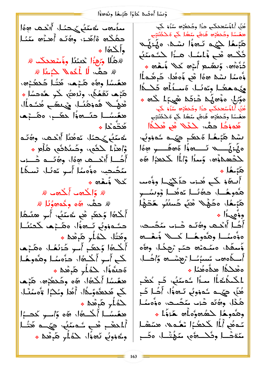اةُ مِكَمَّلُ الْمُحَرِّكُمْ هُمَّةٌ مِمَّاهُ حقُكْم ةْاهْدْ: وْهْنُمْ أْهْدْرُه مْنْدَا وأكثأان هِهْمُلَا وَرَجْزًا يَحْسُنُا وِوَٰ مِنْعِجِكُمْ \* ه حفٌّ، لُل*ا أ*َحُو\ لاَبْنَا *ه* همَسُلم وهُو هُــْمِم. هُتُما كَــْهُــْرُو. هُبْم نْقْعُلُو: وِلْإِيْنُ كُلِّ هُوَدِمُلْ ﴾ هُوَيُــٰهُ هَــُمُولِيُمْ ،الــٰهُمُو هـُـُـدهُمْ )!. همُسُلِ منُـــهِ ذُا حمَــــــهِ وهَـــــةٍ م مُحْدَّم ْهَا \* حْكَمُهُ ﴾ حمَّا، ۖ مَه هُدًا أَانْحِصْ، ۖ وهُ نَبِهِ وْاهِزْا لِحِثَمِ، وِجَبِيُكِمْعُو هُلُعٍ \* أُحُـــا أَلْكَـــف هؤا. وهُنّـــه خُــــزم مَكْتَحِيهِ: وذُّومُمَا أُسِرٍ مُونُـاً: نُسَـكَاباً  $\rightarrow$   $\mathbf{A}$   $\mathbf{A}$   $\mathbf{A}$ کا دُالگەم آلگەم ئا ® حقَّٰ: 60 وحُدوهوُنُّا ® أَكْدُّا وَحْكَرٍ ثُم شُمِّيُّ. أَس هِنَّمُا ھىئەووپُ ئىھۇل ھۇسې**م** لاھ*نل*ا وِهۡتُاۥ ڂڡۢڶؙڔ هٗڔڨد ؞ أَكْتُوا وَحَقَدٍ أَسِي كَرْتُعُا وَمَتْهُمْ كُم أُسو أَكْـرَهَا. دَ:ُهِمُـا وِهُهُوهُـا هُحبَّهُ وَا صَلْحَمَلُوا هُوَ هُدَا ﴾ همُسُلم أَكْتُهَا: 6ه وصَّحْعَةٍ(٥: 6َبْم كُمْ هَٰدِهُوَوُمِدًا. أَهُا وِمُكْرًا وُومُنْدًا. لْحَدَٰكُم هُدِهْدَ \* همُسُلِ أَكْسُرُهُ أَنْ هُو وَٱسِعِ كُحِبُّ أَلمحقَّــ هُـــ شَــمسَّـلُ، حيِّـــم هَتُــا وِشَوْوِبُ نُهوَٰٓا، ۖ لِكَفَلَٰہِ ۖ هَٰٓ هُٰٓدِهُ ﴾

هُنِّي أَلمَوْمُعدكُم دَرًّا وِحُدهُرْهِ مَنْزُو كَلِّي. همُسُا وحُمهُ وَ وَمَعْ مَهْا لَكِ وَكَنْتَهِم سُوْمِنَ مِنْ اوْمِعَتْ صَرْبُهُ الْهُجْمَ ثَكْــهِ شَــع وْلمسُــا. هــزُا لحسُـمسُـهُ صُرُّواْنِهِ . وَيَعْمَدِ أَجْرَهِ كَبِلاً وَمُقْرَهِ \* وْْوِيْمَا بِشْكَ هِوْا فْعِ وَْوِهَا، خَرِهَجْهَاْ ويُدهقُما ومُوسُماً، وَمسألَمُ وَكَنْدُوا olio di Ajoio di Alaio هُنِّي أَمْلَهُمُعْدَكَبٍ دَرًّا وَحُدِهُمْ وَ مِّنُوْ لَكِ. همُسُا وحُممُ وَ وَ وَ مَ مَعْاً لَكَ مَكْنُتَهِا هُدوْحُا حقٌّ، حَكْلا مْع مْحَكْلا سْمْ هَبُعُمَا هَدهُم حِيْ؎ شُەووِبُ.  $\int$ لِكَتْعَمِلْوَٰوْنَ وَسَلَأَ وَٱلْمَالِكَتْتَيْمَ أَوَّةً هُبُمُا \* أَسقَوْ لَكَم هُذِب حَلَّكَيْهِمَا وِؤُهِبَ هُدوهُــا. دەُنُــا مُدمُــا وْوِيسُــو هَّبُـمُّا. ٥كَـهُـلا شَنِّ كَـسْنُرِ ـمُّحَـهُا وؤهبلا و أُهُــا أَانْمــم وهُنّــه هْــزب مَنْهُـــد. وؤْوِيمُا وِهُومُا كَلَّا وُمْهَدِهِ وُسِفَكَ: مِمْـوْيُو حَيْمٍ رُجِحُـاً: وِرَوْهِ أَسْلَاهِ مَسْؤُسًا رُهِمْسِهِ وَٱصَّلَا وقْعَلْمًا هِدْوَهُكْمَا \* لمَكْمِكُمُّا مِعْلًا شَوْمَكُ؛ كَمِ خُفْرِ هُنَّى حَيْ؎ شُەووبُ نُـهووُّا، أَحُـا كَـر هُذَا، وهُنَّه خُزم مُخُمِّد، ەؤْەممُـا وهدوها لحفهوواه لهزؤاء صُوهُم أَلَمُ الْكَحِعُجُ الْمُسْوِينَ مِنْتَهَا مَّةفْــا وذُكْـــوهُ مَّـمُثْـَـا وَصَــرٍ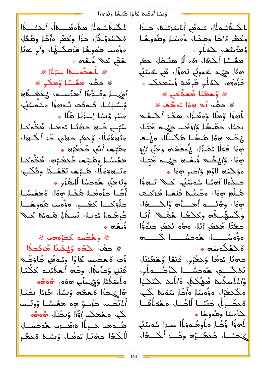لمَكْمُشُولُهُ مِدْهُومُكِ الْمَدْمُكُمُ هَكْشُوبُكُلْ: دَٰزَا وِكْعْدِ وَأَكُلَّ وَهُكْلَ: ەۋەممە ھەوھا قۇھگىھا، وأبر ئەئا كَمْشْ كْمَلَا وُمْقْدَهِ \* @ 11 je 16. Jel @ ه حقَّ، همَّسُل وَهكُو & مَاكَنِكُمْ مِدَّةُوْاً أَهْذَمِدِهِ، لَمَحْقِدِكُمْ وًىسُبُرُّــا، كَــوكُت شُــوووُّا وشُــومَنْبُ، ەمَمْ وْيْسَا إِسْرَيْا هَالله مُبْسٍ دْ- دەمُلُ مُوهُــا. هُتَوْصُــا ەئەۋۇلماًا، ۇحكى دەۋە كَز أىكىغا، ه هَٻْ هَه (نُدُم دهَٰدِ پ همَّسُا وهُـبْم حُدهُـبْهِ. هُتَّهْدُا ەڵ۞ۊەٛڵؙٲ؞ۿۜڋڡ؆ڡٚۿڴ۩ؙٳۅڎ۫ڴڹ؞ وِلْاهِتُو حَدْدَمَا لَمْحَنُّو \* أَحُــا حزَّه هُــا هُـحْـا هوَا. وَهمْسُــا حاُوْكُـــا كُعْنُـــــرٍ. ووُّومب هُومِــُـــا كُرهُــه لم مُــأَى لَمِــمَّا لِمَــهُ مَــلا  $\bullet$  gives @ وهَكْسه كَدَمْ قائق الله ه حقٌّ، حمّه وَيَمْسُلُّ هُوَدَهُ ا ؤُد ەُھكُىس كُاوُا وصُوھُے كَاوْكَىلا فْتَبُ وۡحَنُمِٱاۥ وِحۡنَهُ ٱهۡهَٰكَـٰدَ كَـٰذُنَـٰا هَاجِحَزَا هَمْعُهِ وْسَلَّا اخْتِمَا بِحَمْلِ ٱلمَنَّفُ، حزَّموٌ وه همَّسُل وُوئَــٰ، ِّكُمْ: ہِمُعِكُمْ }َوْٱاْ وَبِّتَتَاْ، قُوَوَّةٌ ه ـُــوهد كَـــرِمُّا وَاهُـــزب هُوَجِئْـــا. لَّاكُهُا حهُنُا مُومُدا وَيِسْطِ وَحِكْمِ

الْكَمْلُكُمْ الْمَاتَ الْمَاسَّلَا، حَذَّا وحُعْدٍ هَاجًا وهُخْلٍ. وُوسُا وهُومُا وَهزَمْه، لِكُماُرٖ ﴾ همَّسُا أَحْدُهُا. ۞ه لُا هسَّمُا. حقَّدِ بِهُمَا حِيَى سَهُوَوِبُ نَهُوواً: هُي شَمَعُبُ قُذَّهُ" لِكَمْلُمٍ هُوَهُكَ وَمُتَعَجِّكَ \* @ وُهكْمُا مُعِكْتُمْ @ ه حقَّ: *أما ه*هُ *أه هُمَّد ه* لَمُعِدُّلُ وَعِمَّلُو وَعَعَدُوا وَعَمَّدَ أَحْمَى الْمَسْمَى اللَّهُ بِصَّا، حِمَيْهَا وَّافِقُتْ حَيْءَ هَيْتًا، لمَكْمَهِ مِنْهَا هَمْهُمَا هَكْسُلًا، ولَمْكُ هِوَا هَٰزَالًا عَمَّدُاْ، لِمُعْقِفِهِ وِهُنَّى رُاوْ اللَّهُ وَالْمُصَلَّا وُسْسُدِهِ حَيْثٍ هَيْسًا. ءَوَّكِنَهُ لَادُهِ وَاصَّعِ وَهُا \* حَــِدْهِلًا أَهْمُــا شَمِمْنُي: كَـــلا نَــهِ وَُا ھُـلُع ھوُا. وَهُـبُــِـمْ وُتِمُــلِّ هُدِيْــِـمِ 160 و3تُــه أُهِـــأو وَالْحَـــوا. وكْسِهُمْكُرْهِ وْكُلْحُكْمْ هُهْكْ، أْنُمْا حعَّتُا مُدهْرِ إِبَّا. 90ُ9 يُدهْرِ حِيَّوْا ەۋەمئىسسا، ھەدىئىسسا ئىسسە ەللەگەشمە پ حەُنُا مُەھُا وُحِعُبُر، دْتقَا وُحَعَمُنْا. ثمگے حدّدسلہ حدّفہ ماُبن وْإِلْمَاشْمَا شَهْكُلُ وْالْمَا حَمْحَةِ! مكْتِعُةُ!. وذُوسُا وأُصَّا سَفَسْط لَبِّ. هُحكَــبِـلُ حَتَّـُــا لَّاحُـــا وَحَقَافُــا لمؤهنا وهدوها م ـأَهوَٰٓا وَّكُــا هـأُوهَّــهوَٰٓـاًا ممــرًا شَهمَّـبُ لىحسًا. كَحْشُــْرْه وكَـــز أَكْـــرْهَا.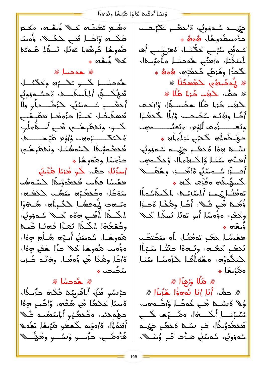ەھُم ئېگىلە كىلا قُسْم، ەكم هُكْدِهِ وَٱحْسا هُبِ حَذْبِ ﴿ وَمِمُ هُومُا دَهِمْدا مُهلا شَمْا هَمَه  $\bullet$   $\sim$   $\sim$   $\sim$ 2 Lusan 2 هُهدسُما لُحْسِرٍ مُحْسَبْهِ وِتُحَكَّسَا. هْدْيُكْمُ ٱبْلِلُمحْشَدِينَ هُجِيَّدَوْوِبُ هُهِكُمُكًا، يُمِتْزَا جَزَهِ هُـا هِكَبِـمَّبِ لكسوء ولْكاهَٰبِعْسَمِ هْبِ أَسْكَاهَ لَمْبْن هُكْتُكْــــــــرُهِ هِ وَاوُهِ هُرْمِــــــكَ: هُدهُـووُلِمُا لِحَسُّوهُمُـا وِنُدْهَرِهُـو دؤُهِمُا وِهُومُا ﴾ إِسْزَنَا. حقَّ. كُبْرِ هُزِمًا هُزْمَعٌ همَّسُا فِكَت هُدِهُوَيْكَا كِنْتُوهُت مَّةَ مُّا، وَحُدِهُ بِهُ مَّعَهُ مِنْ الْمَكْتُرُو، مَصْهِد لِمُعْصَلِ لِلشَّبِرِلُهِ. هُصَّةَوْا لمكْــدًا لَمُعْبِ 500 كَـــلا شَــدَوْوِبُ: وحُمْعُدُهُ! الْحُـدُ! ثَعـٰٓ؛! دُرونُـا شَــد هُدوهُا: شَدْمَعُهُ أَسْرُهِ هُـأَمِ هِدَا. وؤُوسا هُومِهَا كَلا حزًا هُثَى 30أَ. هُ/حُا وهُٰذَا هُم ۏُههُٰـا. وهُنُـه ضُـزم مدمث جدد که 2 Lisaie 2 حزْسُس هُنِّي ٱلمُحْرِمَةِ ه شَكْرَه حزَّمـدًا. ەْمىئا ئىنىغا ھْي ھُقْتە، ۆاھُم رەەُا حهُمنبَ، مكَنفُبُر أَلِمَعَمَد ثَلا أَقدُماً!، وَأَوْمَد كَعِعْدِ هَزَمِهَا يَعْمَلا فُزُّەكَــــى: دَّىــــو وْلسُـــو وفْلاًــــلا

كيء شەۋوبُ؛ ةالحقب ئكنرمصد دؤەممۇھولمان ۋە ۋە صَّـٰہِ مُنۡمِــــم كَـتُكُسُــا ۖ هُڪَرۡمِهُمـــم أُڢ لِمُعَمَّلًا: وَأَهَذُبِ هُوَجِبًا وَلَمُوَسِّمَا. كْحِزًا وَهَزِهَمْ هَدِهُرْهِ: ٥٥٥ \* **® لْمُحَمَّدُونَ لِأَعْلَى مِنْ الْمَ** ه حقَّ حدَّى جَزا هُلًا ه لِحْمُد جُزا هُلًا هجُسِيمًا. وَٱلْكُمْ أَحُـا وهُنّـه مَكَمحــد وْالْمَا كَـٰحِمَـٰـرُا ۖ وِنْڡ؎ۥؿٞڡڡ۩ڵٳۅؙۄ؞ۦڡڬڡٮٞٮڝڝ؈ٮ دهُمدُه اُه لَکْتَرَ، مُزَاْهُ اُه ىشىم بوەُل ەَجھَى جَيْمە شەدوبُ: أُهِيْرُهِ مَمْنَا وَالْحُدُّهُ مِلَٰا. وَحِكْمُوهِ أُهِـــَةُ! شَــهمَّكُ هُ/هُــــز: وهُهُــــلا كسلَمْلُه ەقْزْما كْلَه م الْمِسْلَمِيْ الْمُتَامَّدِينَ الْمُسْلَمَةِ مِنْ الْمُسْتَحَدِينَ ؤُهُدِ مْبِي شَيْلاً: أُصُل وهُنْدا هُصرُّا وكَعْدَرِ: وَوُّوْمُا أَس مُونَا نْسَمًا كَتْبًا  $\bullet$   $\bullet$   $\bullet$   $\bullet$ ھقَسُل ھگے کوھُلُا، لَمَا مَکْتَکَب نْدِهْمِ كَعْدِهِ، وْلْـ30ْ دِيْتُمْ مَمْتِزَاْل لْمُنْكُوْرُهِ، وَهُقَلُوْلَمْ لِلْأُوْمُنَا مُنْتَار ەئەئىما \* ه هَلَا دَعِزًا هِ ه حقٌّ أَنَّا إِنَّا ثَهُوذًا هَنَّا \* وَ وُلا ەُنسْكُ هُبِ خُوصُلُ وَاُحُـوەت. مُمْبَرُّــ أَكْـــةُ ا. ەھَـــرْھ كَــــ هُدهُوَمِدًا. کَمِ بِشَدْ هُدهَمِ حیْ؎ شُەوْوِلُ: شُەمْمُلُ ھِـزْد كَـرٍ وُمْـلاً: